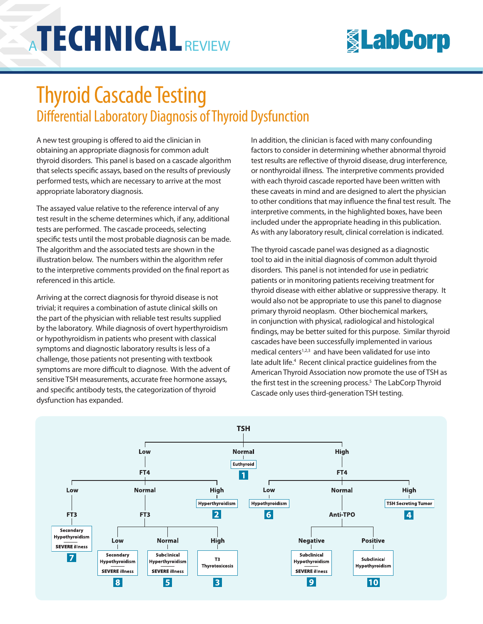# **ATECHNICAL**REVIEW

# Thyroid Cascade Testing Differential Laboratory Diagnosis of Thyroid Dysfunction

A new test grouping is offered to aid the clinician in obtaining an appropriate diagnosis for common adult thyroid disorders. This panel is based on a cascade algorithm that selects specific assays, based on the results of previously performed tests, which are necessary to arrive at the most appropriate laboratory diagnosis.

The assayed value relative to the reference interval of any test result in the scheme determines which, if any, additional tests are performed. The cascade proceeds, selecting specific tests until the most probable diagnosis can be made. The algorithm and the associated tests are shown in the illustration below. The numbers within the algorithm refer to the interpretive comments provided on the final report as referenced in this article.

Arriving at the correct diagnosis for thyroid disease is not trivial; it requires a combination of astute clinical skills on the part of the physician with reliable test results supplied by the laboratory. While diagnosis of overt hyperthyroidism or hypothyroidism in patients who present with classical symptoms and diagnostic laboratory results is less of a challenge, those patients not presenting with textbook symptoms are more difficult to diagnose. With the advent of sensitive TSH measurements, accurate free hormone assays, and specific antibody tests, the categorization of thyroid dysfunction has expanded.

In addition, the clinician is faced with many confounding factors to consider in determining whether abnormal thyroid test results are reflective of thyroid disease, drug interference, or nonthyroidal illness. The interpretive comments provided with each thyroid cascade reported have been written with these caveats in mind and are designed to alert the physician to other conditions that may influence the final test result. The interpretive comments, in the highlighted boxes, have been included under the appropriate heading in this publication. As with any laboratory result, clinical correlation is indicated.

The thyroid cascade panel was designed as a diagnostic tool to aid in the initial diagnosis of common adult thyroid disorders. This panel is not intended for use in pediatric patients or in monitoring patients receiving treatment for thyroid disease with either ablative or suppressive therapy. It would also not be appropriate to use this panel to diagnose primary thyroid neoplasm. Other biochemical markers, in conjunction with physical, radiological and histological findings, may be better suited for this purpose. Similar thyroid cascades have been successfully implemented in various medical centers<sup>1,2,3</sup> and have been validated for use into late adult life.<sup>4</sup> Recent clinical practice guidelines from the American Thyroid Association now promote the use of TSH as the first test in the screening process.<sup>5</sup> The LabCorp Thyroid Cascade only uses third-generation TSH testing.

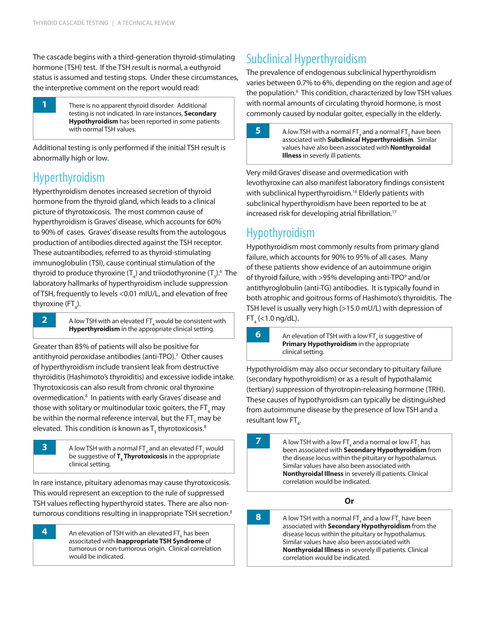The cascade begins with a third-generation thyroid-stimulating hormone (TSH) test. If the TSH result is normal, a euthyroid status is assumed and testing stops. Under these circumstances, the interpretive comment on the report would read:

**1** There is no apparent thyroid disorder. Additional testing is not indicated. In rare instances, **Secondary Hypothyroidism** has been reported in some patients with normal TSH values.

Additional testing is only performed if the initial TSH result is abnormally high or low.

### Hyperthyroidism

Hyperthyroidism denotes increased secretion of thyroid hormone from the thyroid gland, which leads to a clinical picture of thyrotoxicosis. The most common cause of hyperthyroidism is Graves' disease, which accounts for 60% to 90% of cases. Graves' disease results from the autologous production of antibodies directed against the TSH receptor. These autoantibodies, referred to as thyroid-stimulating immunoglobulin (TSI), cause continual stimulation of the thyroid to produce thyroxine (T<sub>4</sub>) and triiodothyronine (T<sub>3</sub>).<sup>6</sup> The laboratory hallmarks of hyperthyroidism include suppression of TSH, frequently to levels <0.01 mIU/L, and elevation of free thyroxine (FT $_{\rm 4}$ ).

**2** A low TSH with an elevated  $FT_4$  would be consistent with **Hyperthyroidism** in the appropriate clinical setting.

Greater than 85% of patients will also be positive for antithyroid peroxidase antibodies (anti-TPO).<sup>7</sup> Other causes of hyperthyroidism include transient leak from destructive thyroiditis (Hashimoto's thyroiditis) and excessive iodide intake. Thyrotoxicosis can also result from chronic oral thyroxine overmedication.<sup>8</sup> In patients with early Graves' disease and those with solitary or multinodular toxic goiters, the FT $_{\textrm{\tiny{4}}}$  may be within the normal reference interval, but the FT $_{\tiny 3}$  may be elevated. This condition is known as  ${\mathsf T}_{_{\boldsymbol 3}}$  thyrotoxicosis. $^{\text{8}}$ 

**3** A low TSH with a normal FT<sub>4</sub> and an elevated FT<sub>3</sub> would be suggestive of  $\mathsf{T}_\mathsf{3}$  **Thyrotoxicosis** in the appropriate clinical setting.

In rare instance, pituitary adenomas may cause thyrotoxicosis. This would represent an exception to the rule of suppressed TSH values reflecting hyperthyroid states. There are also nontumorous conditions resulting in inappropriate TSH secretion.<sup>8</sup>

**4** An elevation of TSH with an elevated  $FT_4$  has been associtated with **Inappropriate TSH Syndrome** of tumorous or non-tumorous origin. Clinical correlation would be indicated.

# Subclinical Hyperthyroidism

The prevalence of endogenous subclinical hyperthyroidism varies between 0.7% to 6%, depending on the region and age of the population.<sup>6</sup> This condition, characterized by low TSH values with normal amounts of circulating thyroid hormone, is most commonly caused by nodular goiter, especially in the elderly.

**5** A low TSH with a normal FT<sub>4</sub> and a normal FT<sub>3</sub> have been associated with **Subclinical Hyperthyroidism**. Similar values have also been associated with **Nonthyroidal Illness** in severly ill patients.

Very mild Graves' disease and overmedication with levothyroxine can also manifest laboratory findings consistent with subclinical hyperthyroidism.<sup>16</sup> Elderly patients with subclinical hyperthyroidism have been reported to be at increased risk for developing atrial fibrillation.<sup>17</sup>

## Hypothyroidism

Hypothyroidism most commonly results from primary gland failure, which accounts for 90% to 95% of all cases. Many of these patients show evidence of an autoimmune origin of thyroid failure, with >95% developing anti-TPO<sup>9</sup> and/or antithyroglobulin (anti-TG) antibodies. It is typically found in both atrophic and goitrous forms of Hashimoto's thyroiditis. The TSH level is usually very high (>15.0 mU/L) with depression of  $FT_{\rm 4}$  (<1.0 ng/dL).

**6** An elevation of TSH with a low FT<sub>4</sub> is suggestive of **Primary Hypothyroidism** in the appropriate clinical setting.

Hypothyroidism may also occur secondary to pituitary failure (secondary hypothyroidism) or as a result of hypothalamic (tertiary) suppression of thyrotropin-releasing hormone (TRH). These causes of hypothyroidism can typically be distinguished from autoimmune disease by the presence of low TSH and a resultant low FT<sub>4</sub>.

**7** A low TSH with a low FT<sub>4</sub> and a normal or low FT<sub>3</sub> has been associated with **Secondary Hypothyroidism** from the disease locus within the pituitary or hypothalamus. Similar values have also been associated with **Nonthyroidal Illness** in severely ill patients. Clinical correlation would be indicated.

#### **Or**

**8** A low TSH with a normal FT<sub>4</sub> and a low FT<sub>3</sub> have been associated with **Secondary Hypothyroidism** from the disease locus within the pituitary or hypothalamus. Similar values have also been associated with **Nonthyroidal Illness** in severely ill patients. Clinical correlation would be indicated.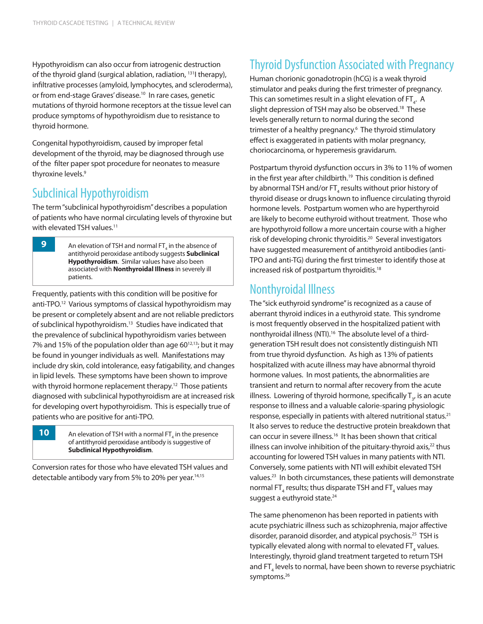Hypothyroidism can also occur from iatrogenic destruction of the thyroid gland (surgical ablation, radiation, 131I therapy), infiltrative processes (amyloid, lymphocytes, and scleroderma), or from end-stage Graves' disease.<sup>10</sup> In rare cases, genetic mutations of thyroid hormone receptors at the tissue level can produce symptoms of hypothyroidism due to resistance to thyroid hormone.

Congenital hypothyroidism, caused by improper fetal development of the thyroid, may be diagnosed through use of the filter paper spot procedure for neonates to measure thyroxine levels.<sup>9</sup>

#### Subclinical Hypothyroidism

The term "subclinical hypothyroidism" describes a population of patients who have normal circulating levels of thyroxine but with elevated TSH values.<sup>11</sup>

| Q | An elevation of TSH and normal $FT_a$ in the absence of     |
|---|-------------------------------------------------------------|
|   | antithyroid peroxidase antibody suggests Subclinical        |
|   | <b>Hypothyroidism.</b> Similar values have also been        |
|   | associated with <b>Nonthyroidal Illness</b> in severely ill |
|   | patients.                                                   |

Frequently, patients with this condition will be positive for anti-TPO.12 Various symptoms of classical hypothyroidism may be present or completely absent and are not reliable predictors of subclinical hypothyroidism.<sup>13</sup> Studies have indicated that the prevalence of subclinical hypothyroidism varies between 7% and 15% of the population older than age  $60^{12,13}$ ; but it may be found in younger individuals as well. Manifestations may include dry skin, cold intolerance, easy fatigability, and changes in lipid levels. These symptoms have been shown to improve with thyroid hormone replacement therapy.<sup>12</sup> Those patients diagnosed with subclinical hypothyroidism are at increased risk for developing overt hypothyroidism. This is especially true of patients who are positive for anti-TPO.

**10** An elevation of TSH with a normal FT<sub>4</sub> in the presence of antithyroid peroxidase antibody is suggestive of **Subclinical Hypothyroidism**.

Conversion rates for those who have elevated TSH values and detectable antibody vary from 5% to 20% per year.14,15

# Thyroid Dysfunction Associated with Pregnancy

Human chorionic gonadotropin (hCG) is a weak thyroid stimulator and peaks during the first trimester of pregnancy. This can sometimes result in a slight elevation of FT $_{\textrm{\tiny{4}}}$ . A slight depression of TSH may also be observed.<sup>18</sup> These levels generally return to normal during the second trimester of a healthy pregnancy.6 The thyroid stimulatory effect is exaggerated in patients with molar pregnancy, choriocarcinoma, or hyperemesis gravidarum.

Postpartum thyroid dysfunction occurs in 3% to 11% of women in the first year after childbirth.<sup>19</sup> This condition is defined by abnormal TSH and/or  $FT_{_4}$  results without prior history of thyroid disease or drugs known to influence circulating thyroid hormone levels. Postpartum women who are hyperthyroid are likely to become euthyroid without treatment. Those who are hypothyroid follow a more uncertain course with a higher risk of developing chronic thyroiditis.20 Several investigators have suggested measurement of antithyroid antibodies (anti-TPO and anti-TG) during the first trimester to identify those at increased risk of postpartum thyroiditis.<sup>18</sup>

#### Nonthyroidal Illness

The "sick euthyroid syndrome" is recognized as a cause of aberrant thyroid indices in a euthyroid state. This syndrome is most frequently observed in the hospitalized patient with nonthyroidal illness (NTI).<sup>16</sup> The absolute level of a thirdgeneration TSH result does not consistently distinguish NTI from true thyroid dysfunction. As high as 13% of patients hospitalized with acute illness may have abnormal thyroid hormone values. In most patients, the abnormalities are transient and return to normal after recovery from the acute illness. Lowering of thyroid hormone, specifically  $T_{3}$ , is an acute response to illness and a valuable calorie-sparing physiologic response, especially in patients with altered nutritional status.<sup>21</sup> It also serves to reduce the destructive protein breakdown that can occur in severe illness.16 It has been shown that critical illness can involve inhibition of the pituitary-thyroid axis, $22$  thus accounting for lowered TSH values in many patients with NTI. Conversely, some patients with NTI will exhibit elevated TSH values.23 In both circumstances, these patients will demonstrate normal FT<sub>4</sub> results; thus disparate TSH and FT<sub>4</sub> values may suggest a euthyroid state.<sup>24</sup>

The same phenomenon has been reported in patients with acute psychiatric illness such as schizophrenia, major affective disorder, paranoid disorder, and atypical psychosis.25 TSH is typically elevated along with normal to elevated FT $_{\tiny 4}$  values. Interestingly, thyroid gland treatment targeted to return TSH and FT $_{\scriptscriptstyle 4}$  levels to normal, have been shown to reverse psychiatric symptoms.26